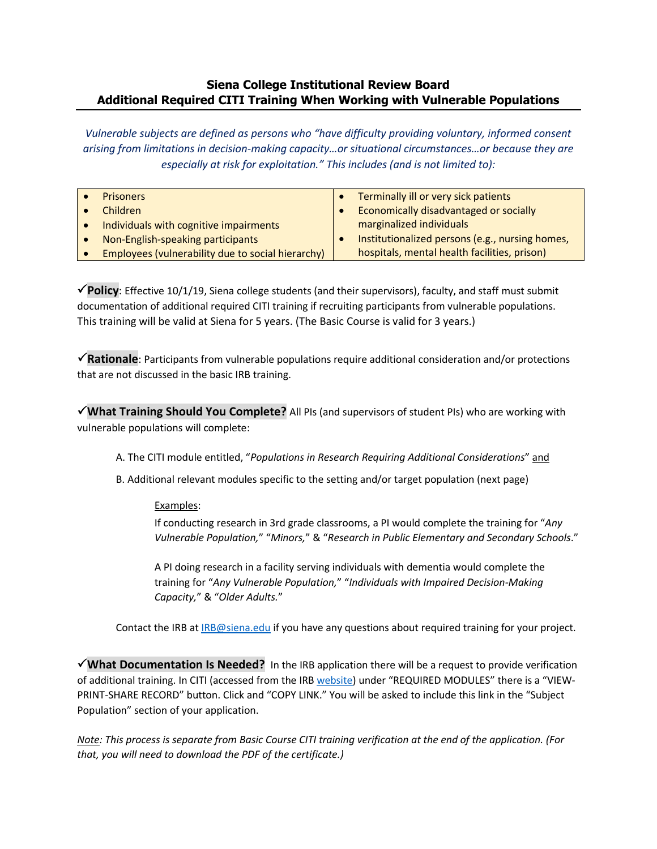## **Siena College Institutional Review Board Additional Required CITI Training When Working with Vulnerable Populations**

*Vulnerable subjects are defined as persons who "have difficulty providing voluntary, informed consent arising from limitations in decision-making capacity…or situational circumstances…or because they are especially at risk for exploitation." This includes (and is not limited to):*

| <b>Prisoners</b>                                  |  | Terminally ill or very sick patients            |  |  |
|---------------------------------------------------|--|-------------------------------------------------|--|--|
| Children                                          |  | Economically disadvantaged or socially          |  |  |
| Individuals with cognitive impairments            |  | marginalized individuals                        |  |  |
| Non-English-speaking participants                 |  | Institutionalized persons (e.g., nursing homes, |  |  |
| Employees (vulnerability due to social hierarchy) |  | hospitals, mental health facilities, prison)    |  |  |

**Policy**: Effective 10/1/19, Siena college students (and their supervisors), faculty, and staff must submit documentation of additional required CITI training if recruiting participants from vulnerable populations. This training will be valid at Siena for 5 years. (The Basic Course is valid for 3 years.)

**Rationale**: Participants from vulnerable populations require additional consideration and/or protections that are not discussed in the basic IRB training.

**What Training Should You Complete?** All PIs (and supervisors of student PIs) who are working with vulnerable populations will complete:

- A. The CITI module entitled, "*Populations in Research Requiring Additional Considerations*" and
- B. Additional relevant modules specific to the setting and/or target population (next page)

## Examples:

If conducting research in 3rd grade classrooms, a PI would complete the training for "*Any Vulnerable Population,*" "*Minors,*" & "*Research in Public Elementary and Secondary Schools*."

A PI doing research in a facility serving individuals with dementia would complete the training for "*Any Vulnerable Population,*" "*Individuals with Impaired Decision-Making Capacity,*" & "*Older Adults.*"

Contact the IRB a[t IRB@siena.edu](mailto:IRB@siena.edu) if you have any questions about required training for your project.

**What Documentation Is Needed?** In the IRB application there will be a request to provide verification of additional training. In CITI (accessed from the IRB [website\)](https://www.siena.edu/offices/institutional-effectiveness/institutional-review-board/) under "REQUIRED MODULES" there is a "VIEW-PRINT-SHARE RECORD" button. Click and "COPY LINK." You will be asked to include this link in the "Subject Population" section of your application.

*Note: This process is separate from Basic Course CITI training verification at the end of the application. (For that, you will need to download the PDF of the certificate.)*